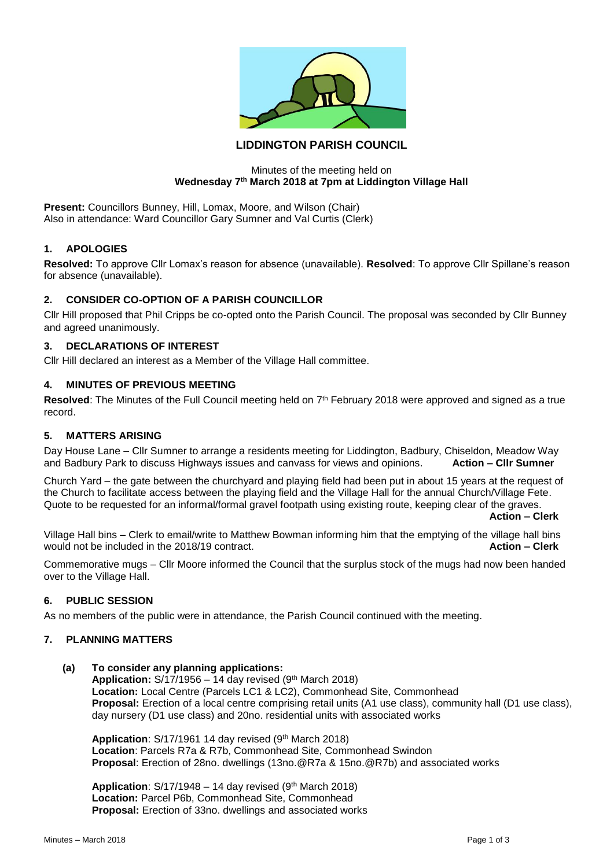

# **LIDDINGTON PARISH COUNCIL**

### Minutes of the meeting held on **Wednesday 7th March 2018 at 7pm at Liddington Village Hall**

**Present:** Councillors Bunney, Hill, Lomax, Moore, and Wilson (Chair) Also in attendance: Ward Councillor Gary Sumner and Val Curtis (Clerk)

## **1. APOLOGIES**

**Resolved:** To approve Cllr Lomax's reason for absence (unavailable). **Resolved**: To approve Cllr Spillane's reason for absence (unavailable).

### **2. CONSIDER CO-OPTION OF A PARISH COUNCILLOR**

Cllr Hill proposed that Phil Cripps be co-opted onto the Parish Council. The proposal was seconded by Cllr Bunney and agreed unanimously.

### **3. DECLARATIONS OF INTEREST**

Cllr Hill declared an interest as a Member of the Village Hall committee.

### **4. MINUTES OF PREVIOUS MEETING**

Resolved: The Minutes of the Full Council meeting held on 7<sup>th</sup> February 2018 were approved and signed as a true record.

#### **5. MATTERS ARISING**

Day House Lane – Cllr Sumner to arrange a residents meeting for Liddington, Badbury, Chiseldon, Meadow Way and Badbury Park to discuss Highways issues and canvass for views and opinions. **Action – Cllr Sumner**

Church Yard – the gate between the churchyard and playing field had been put in about 15 years at the request of the Church to facilitate access between the playing field and the Village Hall for the annual Church/Village Fete. Quote to be requested for an informal/formal gravel footpath using existing route, keeping clear of the graves.

**Action – Clerk**

Village Hall bins – Clerk to email/write to Matthew Bowman informing him that the emptying of the village hall bins would not be included in the 2018/19 contract. **Action – Clerk**

Commemorative mugs – Cllr Moore informed the Council that the surplus stock of the mugs had now been handed over to the Village Hall.

#### **6. PUBLIC SESSION**

As no members of the public were in attendance, the Parish Council continued with the meeting.

#### **7. PLANNING MATTERS**

**(a) To consider any planning applications: Application:** S/17/1956 – 14 day revised (9th March 2018) **Location:** Local Centre (Parcels LC1 & LC2), Commonhead Site, Commonhead **Proposal:** Erection of a local centre comprising retail units (A1 use class), community hall (D1 use class), day nursery (D1 use class) and 20no. residential units with associated works

Application: S/17/1961 14 day revised (9<sup>th</sup> March 2018) **Location**: Parcels R7a & R7b, Commonhead Site, Commonhead Swindon **Proposal**: Erection of 28no. dwellings (13no.@R7a & 15no.@R7b) and associated works

**Application:**  $S/17/1948 - 14$  day revised (9<sup>th</sup> March 2018) **Location:** Parcel P6b, Commonhead Site, Commonhead **Proposal:** Erection of 33no. dwellings and associated works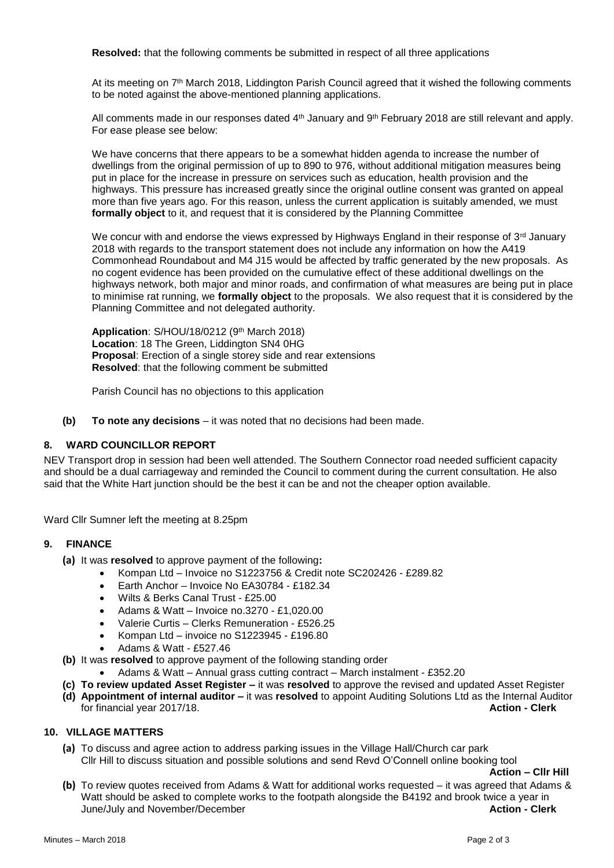**Resolved:** that the following comments be submitted in respect of all three applications

At its meeting on 7th March 2018, Liddington Parish Council agreed that it wished the following comments to be noted against the above-mentioned planning applications.

All comments made in our responses dated 4<sup>th</sup> January and 9<sup>th</sup> February 2018 are still relevant and apply. For ease please see below:

We have concerns that there appears to be a somewhat hidden agenda to increase the number of dwellings from the original permission of up to 890 to 976, without additional mitigation measures being put in place for the increase in pressure on services such as education, health provision and the highways. This pressure has increased greatly since the original outline consent was granted on appeal more than five years ago. For this reason, unless the current application is suitably amended, we must **formally object** to it, and request that it is considered by the Planning Committee

We concur with and endorse the views expressed by Highways England in their response of  $3^{rd}$  January 2018 with regards to the transport statement does not include any information on how the A419 Commonhead Roundabout and M4 J15 would be affected by traffic generated by the new proposals. As no cogent evidence has been provided on the cumulative effect of these additional dwellings on the highways network, both major and minor roads, and confirmation of what measures are being put in place to minimise rat running, we **formally object** to the proposals. We also request that it is considered by the Planning Committee and not delegated authority.

**Application**: S/HOU/18/0212 (9th March 2018) **Location**: 18 The Green, Liddington SN4 0HG **Proposal**: Erection of a single storey side and rear extensions **Resolved**: that the following comment be submitted

Parish Council has no objections to this application

**(b) To note any decisions** – it was noted that no decisions had been made.

## **8. WARD COUNCILLOR REPORT**

NEV Transport drop in session had been well attended. The Southern Connector road needed sufficient capacity and should be a dual carriageway and reminded the Council to comment during the current consultation. He also said that the White Hart junction should be the best it can be and not the cheaper option available.

Ward Cllr Sumner left the meeting at 8.25pm

### **9. FINANCE**

- **(a)** It was **resolved** to approve payment of the following**:**
	- Kompan Ltd Invoice no S1223756 & Credit note SC202426 £289.82
	- Earth Anchor Invoice No EA30784 £182.34
	- Wilts & Berks Canal Trust £25.00
	- Adams & Watt Invoice no.3270 £1,020.00
	- Valerie Curtis Clerks Remuneration £526.25
	- Kompan Ltd invoice no S1223945 £196.80
	- Adams & Watt £527.46
- **(b)** It was **resolved** to approve payment of the following standing order
	- Adams & Watt Annual grass cutting contract March instalment £352.20
- **(c) To review updated Asset Register –** it was **resolved** to approve the revised and updated Asset Register
- **(d) Appointment of internal auditor –** it was **resolved** to appoint Auditing Solutions Ltd as the Internal Auditor for financial year 2017/18. **Action - Clerk**

#### **10. VILLAGE MATTERS**

**(a)** To discuss and agree action to address parking issues in the Village Hall/Church car park Cllr Hill to discuss situation and possible solutions and send Revd O'Connell online booking tool

**Action – Cllr Hill**

**(b)** To review quotes received from Adams & Watt for additional works requested – it was agreed that Adams & Watt should be asked to complete works to the footpath alongside the B4192 and brook twice a year in June/July and November/December **Action - Clerk**